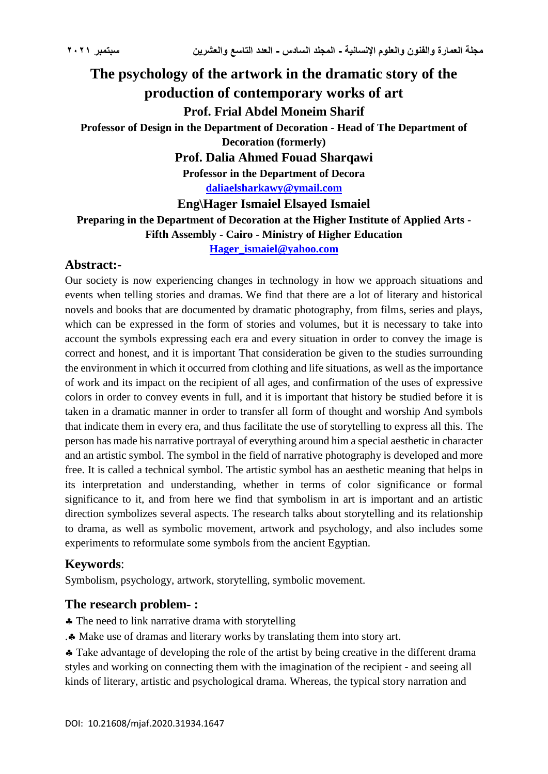# **The psychology of the artwork in the dramatic story of the production of contemporary works of art Prof. Frial Abdel Moneim Sharif Professor of Design in the Department of Decoration - Head of The Department of Decoration (formerly) Prof. Dalia Ahmed Fouad Sharqawi Professor in the Department of Decora [daliaelsharkawy@ymail.com](mailto:daliaelsharkawy@ymail.com) Eng\Hager Ismaiel Elsayed Ismaiel Preparing in the Department of Decoration at the Higher Institute of Applied Arts - Fifth Assembly - Cairo - Ministry of Higher Education [Hager\\_ismaiel@yahoo.com](mailto:Hager_ismaiel@yahoo.com)**

## **Abstract:-**

Our society is now experiencing changes in technology in how we approach situations and events when telling stories and dramas. We find that there are a lot of literary and historical novels and books that are documented by dramatic photography, from films, series and plays, which can be expressed in the form of stories and volumes, but it is necessary to take into account the symbols expressing each era and every situation in order to convey the image is correct and honest, and it is important That consideration be given to the studies surrounding the environment in which it occurred from clothing and life situations, as well as the importance of work and its impact on the recipient of all ages, and confirmation of the uses of expressive colors in order to convey events in full, and it is important that history be studied before it is taken in a dramatic manner in order to transfer all form of thought and worship And symbols that indicate them in every era, and thus facilitate the use of storytelling to express all this. The person has made his narrative portrayal of everything around him a special aesthetic in character and an artistic symbol. The symbol in the field of narrative photography is developed and more free. It is called a technical symbol. The artistic symbol has an aesthetic meaning that helps in its interpretation and understanding, whether in terms of color significance or formal significance to it, and from here we find that symbolism in art is important and an artistic direction symbolizes several aspects. The research talks about storytelling and its relationship to drama, as well as symbolic movement, artwork and psychology, and also includes some experiments to reformulate some symbols from the ancient Egyptian.

# **Keywords**:

Symbolism, psychology, artwork, storytelling, symbolic movement.

## **The research problem- :**

- The need to link narrative drama with storytelling
- . Make use of dramas and literary works by translating them into story art.

Take advantage of developing the role of the artist by being creative in the different drama styles and working on connecting them with the imagination of the recipient - and seeing all kinds of literary, artistic and psychological drama. Whereas, the typical story narration and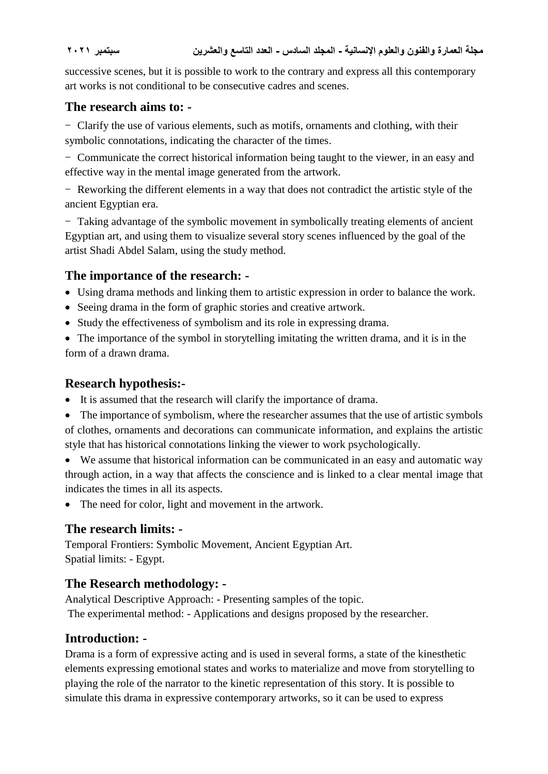successive scenes, but it is possible to work to the contrary and express all this contemporary art works is not conditional to be consecutive cadres and scenes.

## **The research aims to: -**

- Clarify the use of various elements, such as motifs, ornaments and clothing, with their symbolic connotations, indicating the character of the times.

- Communicate the correct historical information being taught to the viewer, in an easy and effective way in the mental image generated from the artwork.

- Reworking the different elements in a way that does not contradict the artistic style of the ancient Egyptian era.

- Taking advantage of the symbolic movement in symbolically treating elements of ancient Egyptian art, and using them to visualize several story scenes influenced by the goal of the artist Shadi Abdel Salam, using the study method.

# **The importance of the research: -**

- Using drama methods and linking them to artistic expression in order to balance the work.
- Seeing drama in the form of graphic stories and creative artwork.
- Study the effectiveness of symbolism and its role in expressing drama.
- The importance of the symbol in storytelling imitating the written drama, and it is in the form of a drawn drama.

# **Research hypothesis:-**

- It is assumed that the research will clarify the importance of drama.
- The importance of symbolism, where the researcher assumes that the use of artistic symbols of clothes, ornaments and decorations can communicate information, and explains the artistic style that has historical connotations linking the viewer to work psychologically.

 We assume that historical information can be communicated in an easy and automatic way through action, in a way that affects the conscience and is linked to a clear mental image that indicates the times in all its aspects.

• The need for color, light and movement in the artwork.

# **The research limits: -**

Temporal Frontiers: Symbolic Movement, Ancient Egyptian Art. Spatial limits: - Egypt.

# **The Research methodology: -**

Analytical Descriptive Approach: - Presenting samples of the topic. The experimental method: - Applications and designs proposed by the researcher.

# **Introduction: -**

Drama is a form of expressive acting and is used in several forms, a state of the kinesthetic elements expressing emotional states and works to materialize and move from storytelling to playing the role of the narrator to the kinetic representation of this story. It is possible to simulate this drama in expressive contemporary artworks, so it can be used to express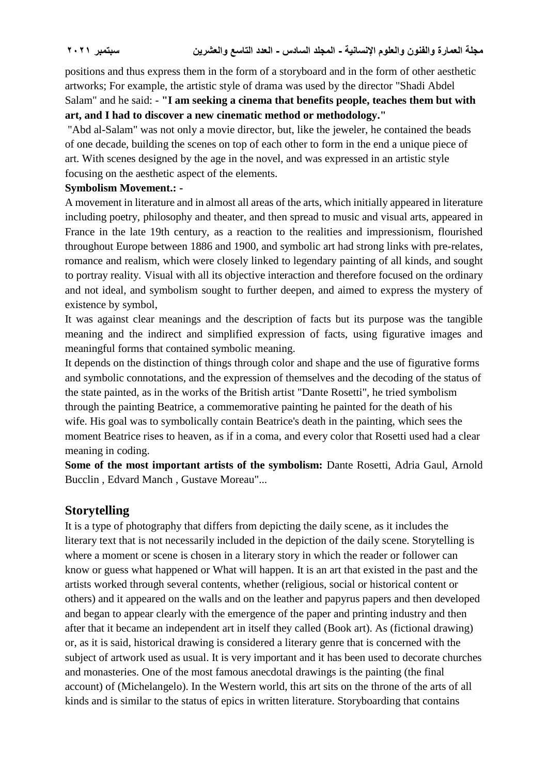positions and thus express them in the form of a storyboard and in the form of other aesthetic artworks; For example, the artistic style of drama was used by the director "Shadi Abdel Salam" and he said: - **"I am seeking a cinema that benefits people, teaches them but with art, and I had to discover a new cinematic method or methodology."**

"Abd al-Salam" was not only a movie director, but, like the jeweler, he contained the beads of one decade, building the scenes on top of each other to form in the end a unique piece of art. With scenes designed by the age in the novel, and was expressed in an artistic style focusing on the aesthetic aspect of the elements.

#### **Symbolism Movement.: -**

A movement in literature and in almost all areas of the arts, which initially appeared in literature including poetry, philosophy and theater, and then spread to music and visual arts, appeared in France in the late 19th century, as a reaction to the realities and impressionism, flourished throughout Europe between 1886 and 1900, and symbolic art had strong links with pre-relates, romance and realism, which were closely linked to legendary painting of all kinds, and sought to portray reality. Visual with all its objective interaction and therefore focused on the ordinary and not ideal, and symbolism sought to further deepen, and aimed to express the mystery of existence by symbol,

It was against clear meanings and the description of facts but its purpose was the tangible meaning and the indirect and simplified expression of facts, using figurative images and meaningful forms that contained symbolic meaning.

It depends on the distinction of things through color and shape and the use of figurative forms and symbolic connotations, and the expression of themselves and the decoding of the status of the state painted, as in the works of the British artist "Dante Rosetti", he tried symbolism through the painting Beatrice, a commemorative painting he painted for the death of his wife. His goal was to symbolically contain Beatrice's death in the painting, which sees the moment Beatrice rises to heaven, as if in a coma, and every color that Rosetti used had a clear meaning in coding.

**Some of the most important artists of the symbolism:** Dante Rosetti, Adria Gaul, Arnold Bucclin , Edvard Manch , Gustave Moreau"...

## **Storytelling**

It is a type of photography that differs from depicting the daily scene, as it includes the literary text that is not necessarily included in the depiction of the daily scene. Storytelling is where a moment or scene is chosen in a literary story in which the reader or follower can know or guess what happened or What will happen. It is an art that existed in the past and the artists worked through several contents, whether (religious, social or historical content or others) and it appeared on the walls and on the leather and papyrus papers and then developed and began to appear clearly with the emergence of the paper and printing industry and then after that it became an independent art in itself they called (Book art). As (fictional drawing) or, as it is said, historical drawing is considered a literary genre that is concerned with the subject of artwork used as usual. It is very important and it has been used to decorate churches and monasteries. One of the most famous anecdotal drawings is the painting (the final account) of (Michelangelo). In the Western world, this art sits on the throne of the arts of all kinds and is similar to the status of epics in written literature. Storyboarding that contains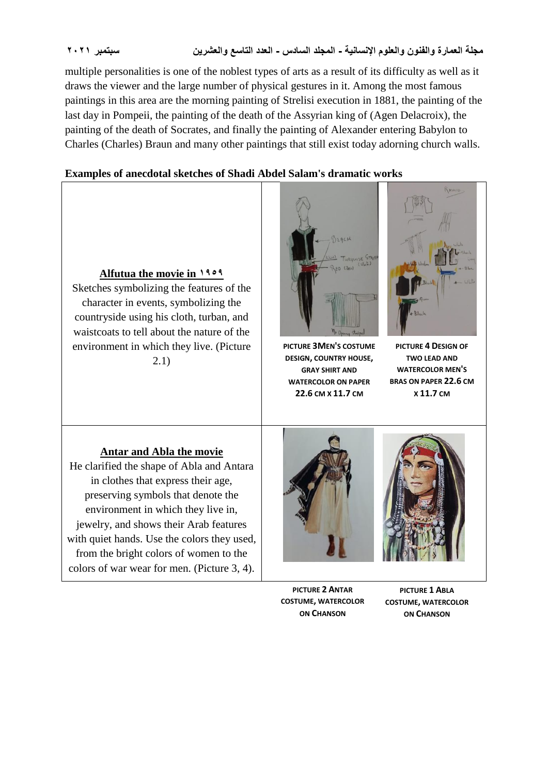multiple personalities is one of the noblest types of arts as a result of its difficulty as well as it draws the viewer and the large number of physical gestures in it. Among the most famous paintings in this area are the morning painting of Strelisi execution in 1881, the painting of the last day in Pompeii, the painting of the death of the Assyrian king of (Agen Delacroix), the painting of the death of Socrates, and finally the painting of Alexander entering Babylon to Charles (Charles) Braun and many other paintings that still exist today adorning church walls.

#### **Examples of anecdotal sketches of Shadi Abdel Salam's dramatic works**



#### **Antar and Abla the movie**

He clarified the shape of Abla and Antara in clothes that express their age, preserving symbols that denote the environment in which they live in, jewelry, and shows their Arab features with quiet hands. Use the colors they used, from the bright colors of women to the colors of war wear for men. (Picture 3, 4).





**PICTURE 4 DESIGN OF TWO LEAD AND WATERCOLOR MEN'S BRAS ON PAPER 22.6 CM X 11.7 CM**

RANIA

**PICTURE 2 ANTAR COSTUME, WATERCOLOR ON CHANSON**

**PICTURE 1 ABLA COSTUME, WATERCOLOR ON CHANSON**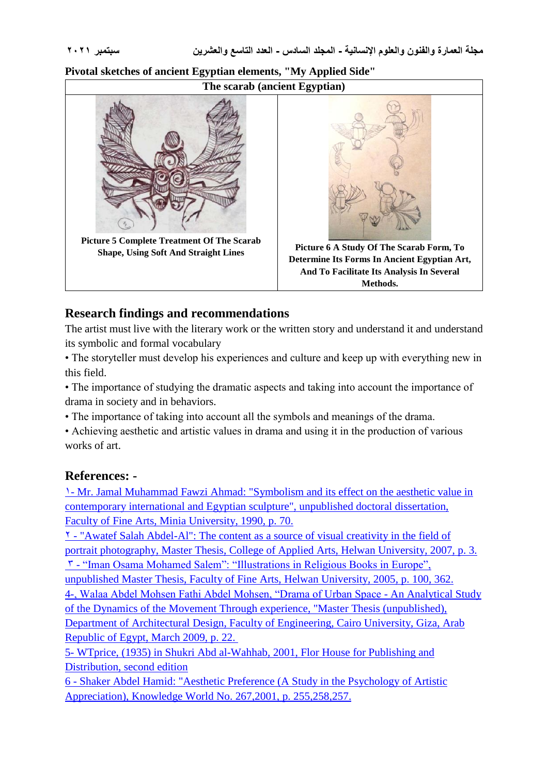# **The scarab (ancient Egyptian) Picture 5 Complete Treatment Of The Scarab Shape, Using Soft And Straight Lines Picture 6 A Study Of The Scarab Form, To Determine Its Forms In Ancient Egyptian Art, And To Facilitate Its Analysis In Several Methods.**

### **Pivotal sketches of ancient Egyptian elements, "My Applied Side"**

### **Research findings and recommendations**

The artist must live with the literary work or the written story and understand it and understand its symbolic and formal vocabulary

• The storyteller must develop his experiences and culture and keep up with everything new in this field.

• The importance of studying the dramatic aspects and taking into account the importance of drama in society and in behaviors.

• The importance of taking into account all the symbols and meanings of the drama.

• Achieving aesthetic and artistic values in drama and using it in the production of various works of art.

#### **References: -**

1- Mr. Jamal Muhammad Fawzi Ahmad: "Symbolism and its effect on the aesthetic value in contemporary international and Egyptian sculpture", unpublished doctoral dissertation, Faculty of Fine Arts, Minia University, 1990, p. 70.

2 - "Awatef Salah Abdel-Al": The content as a source of visual creativity in the field of portrait photography, Master Thesis, College of Applied Arts, Helwan University, 2007, p. 3. 3 - "Iman Osama Mohamed Salem": "Illustrations in Religious Books in Europe", unpublished Master Thesis, Faculty of Fine Arts, Helwan University, 2005, p. 100, 362. 4-, Walaa Abdel Mohsen Fathi Abdel Mohsen, "Drama of Urban Space - An Analytical Study of the Dynamics of the Movement Through experience, "Master Thesis (unpublished),

Department of Architectural Design, Faculty of Engineering, Cairo University, Giza, Arab Republic of Egypt, March 2009, p. 22.

5- WTprice, (1935) in Shukri Abd al-Wahhab, 2001, Flor House for Publishing and Distribution, second edition

6 - Shaker Abdel Hamid: "Aesthetic Preference (A Study in the Psychology of Artistic Appreciation), Knowledge World No. 267,2001, p. 255,258,257.